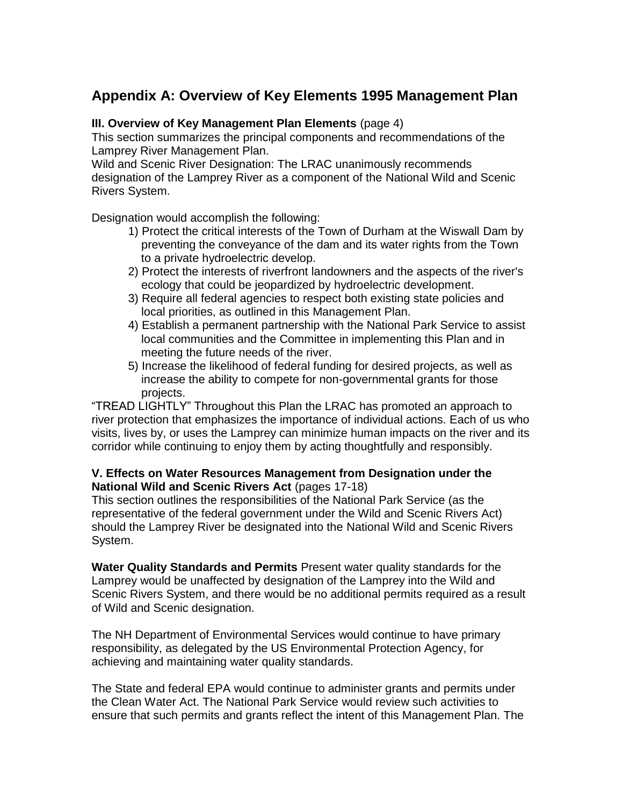# **Appendix A: Overview of Key Elements 1995 Management Plan**

## **III. Overview of Key Management Plan Elements** (page 4)

This section summarizes the principal components and recommendations of the Lamprey River Management Plan.

Wild and Scenic River Designation: The LRAC unanimously recommends designation of the Lamprey River as a component of the National Wild and Scenic Rivers System.

Designation would accomplish the following:

- 1) Protect the critical interests of the Town of Durham at the Wiswall Dam by preventing the conveyance of the dam and its water rights from the Town to a private hydroelectric develop.
- 2) Protect the interests of riverfront landowners and the aspects of the river's ecology that could be jeopardized by hydroelectric development.
- 3) Require all federal agencies to respect both existing state policies and local priorities, as outlined in this Management Plan.
- 4) Establish a permanent partnership with the National Park Service to assist local communities and the Committee in implementing this Plan and in meeting the future needs of the river.
- 5) Increase the likelihood of federal funding for desired projects, as well as increase the ability to compete for non-governmental grants for those projects.

"TREAD LIGHTLY" Throughout this Plan the LRAC has promoted an approach to river protection that emphasizes the importance of individual actions. Each of us who visits, lives by, or uses the Lamprey can minimize human impacts on the river and its corridor while continuing to enjoy them by acting thoughtfully and responsibly.

# **V. Effects on Water Resources Management from Designation under the National Wild and Scenic Rivers Act** (pages 17-18)

This section outlines the responsibilities of the National Park Service (as the representative of the federal government under the Wild and Scenic Rivers Act) should the Lamprey River be designated into the National Wild and Scenic Rivers System.

**Water Quality Standards and Permits** Present water quality standards for the Lamprey would be unaffected by designation of the Lamprey into the Wild and Scenic Rivers System, and there would be no additional permits required as a result of Wild and Scenic designation.

The NH Department of Environmental Services would continue to have primary responsibility, as delegated by the US Environmental Protection Agency, for achieving and maintaining water quality standards.

The State and federal EPA would continue to administer grants and permits under the Clean Water Act. The National Park Service would review such activities to ensure that such permits and grants reflect the intent of this Management Plan. The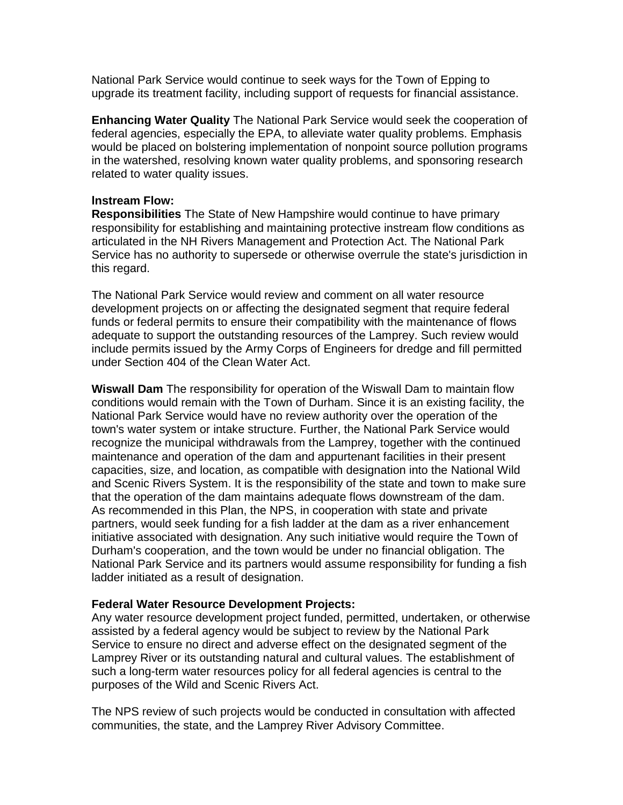National Park Service would continue to seek ways for the Town of Epping to upgrade its treatment facility, including support of requests for financial assistance.

**Enhancing Water Quality** The National Park Service would seek the cooperation of federal agencies, especially the EPA, to alleviate water quality problems. Emphasis would be placed on bolstering implementation of nonpoint source pollution programs in the watershed, resolving known water quality problems, and sponsoring research related to water quality issues.

#### **lnstream Flow:**

**Responsibilities** The State of New Hampshire would continue to have primary responsibility for establishing and maintaining protective instream flow conditions as articulated in the NH Rivers Management and Protection Act. The National Park Service has no authority to supersede or otherwise overrule the state's jurisdiction in this regard.

The National Park Service would review and comment on all water resource development projects on or affecting the designated segment that require federal funds or federal permits to ensure their compatibility with the maintenance of flows adequate to support the outstanding resources of the Lamprey. Such review would include permits issued by the Army Corps of Engineers for dredge and fill permitted under Section 404 of the Clean Water Act.

**Wiswall Dam** The responsibility for operation of the Wiswall Dam to maintain flow conditions would remain with the Town of Durham. Since it is an existing facility, the National Park Service would have no review authority over the operation of the town's water system or intake structure. Further, the National Park Service would recognize the municipal withdrawals from the Lamprey, together with the continued maintenance and operation of the dam and appurtenant facilities in their present capacities, size, and location, as compatible with designation into the National Wild and Scenic Rivers System. It is the responsibility of the state and town to make sure that the operation of the dam maintains adequate flows downstream of the dam. As recommended in this Plan, the NPS, in cooperation with state and private partners, would seek funding for a fish ladder at the dam as a river enhancement initiative associated with designation. Any such initiative would require the Town of Durham's cooperation, and the town would be under no financial obligation. The National Park Service and its partners would assume responsibility for funding a fish ladder initiated as a result of designation.

### **Federal Water Resource Development Projects:**

Any water resource development project funded, permitted, undertaken, or otherwise assisted by a federal agency would be subject to review by the National Park Service to ensure no direct and adverse effect on the designated segment of the Lamprey River or its outstanding natural and cultural values. The establishment of such a long-term water resources policy for all federal agencies is central to the purposes of the Wild and Scenic Rivers Act.

The NPS review of such projects would be conducted in consultation with affected communities, the state, and the Lamprey River Advisory Committee.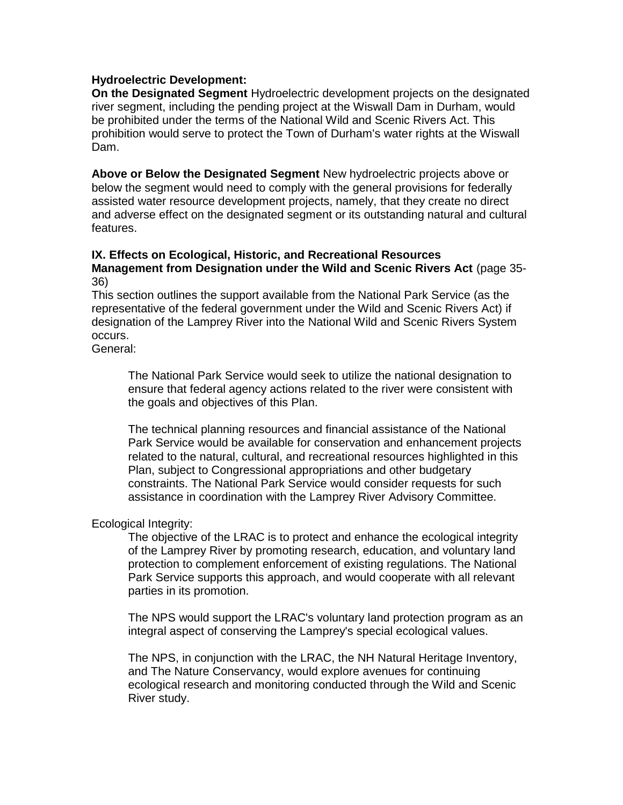## **Hydroelectric Development:**

**On the Designated Segment** Hydroelectric development projects on the designated river segment, including the pending project at the Wiswall Dam in Durham, would be prohibited under the terms of the National Wild and Scenic Rivers Act. This prohibition would serve to protect the Town of Durham's water rights at the Wiswall Dam.

**Above or Below the Designated Segment** New hydroelectric projects above or below the segment would need to comply with the general provisions for federally assisted water resource development projects, namely, that they create no direct and adverse effect on the designated segment or its outstanding natural and cultural features.

#### **IX. Effects on Ecological, Historic, and Recreational Resources Management from Designation under the Wild and Scenic Rivers Act** (page 35- 36)

This section outlines the support available from the National Park Service (as the representative of the federal government under the Wild and Scenic Rivers Act) if designation of the Lamprey River into the National Wild and Scenic Rivers System occurs.

General:

The National Park Service would seek to utilize the national designation to ensure that federal agency actions related to the river were consistent with the goals and objectives of this Plan.

The technical planning resources and financial assistance of the National Park Service would be available for conservation and enhancement projects related to the natural, cultural, and recreational resources highlighted in this Plan, subject to Congressional appropriations and other budgetary constraints. The National Park Service would consider requests for such assistance in coordination with the Lamprey River Advisory Committee.

### Ecological Integrity:

The objective of the LRAC is to protect and enhance the ecological integrity of the Lamprey River by promoting research, education, and voluntary land protection to complement enforcement of existing regulations. The National Park Service supports this approach, and would cooperate with all relevant parties in its promotion.

The NPS would support the LRAC's voluntary land protection program as an integral aspect of conserving the Lamprey's special ecological values.

The NPS, in conjunction with the LRAC, the NH Natural Heritage Inventory, and The Nature Conservancy, would explore avenues for continuing ecological research and monitoring conducted through the Wild and Scenic River study.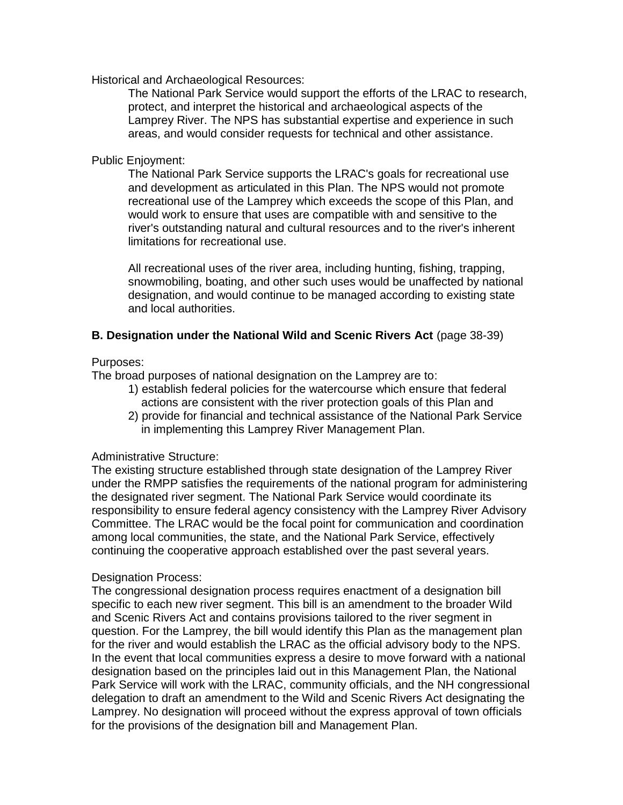Historical and Archaeological Resources:

The National Park Service would support the efforts of the LRAC to research, protect, and interpret the historical and archaeological aspects of the Lamprey River. The NPS has substantial expertise and experience in such areas, and would consider requests for technical and other assistance.

### Public Enjoyment:

The National Park Service supports the LRAC's goals for recreational use and development as articulated in this Plan. The NPS would not promote recreational use of the Lamprey which exceeds the scope of this Plan, and would work to ensure that uses are compatible with and sensitive to the river's outstanding natural and cultural resources and to the river's inherent limitations for recreational use.

All recreational uses of the river area, including hunting, fishing, trapping, snowmobiling, boating, and other such uses would be unaffected by national designation, and would continue to be managed according to existing state and local authorities.

### **B. Designation under the National Wild and Scenic Rivers Act** (page 38-39)

### Purposes:

The broad purposes of national designation on the Lamprey are to:

- 1) establish federal policies for the watercourse which ensure that federal actions are consistent with the river protection goals of this Plan and
- 2) provide for financial and technical assistance of the National Park Service in implementing this Lamprey River Management Plan.

### Administrative Structure:

The existing structure established through state designation of the Lamprey River under the RMPP satisfies the requirements of the national program for administering the designated river segment. The National Park Service would coordinate its responsibility to ensure federal agency consistency with the Lamprey River Advisory Committee. The LRAC would be the focal point for communication and coordination among local communities, the state, and the National Park Service, effectively continuing the cooperative approach established over the past several years.

### Designation Process:

The congressional designation process requires enactment of a designation bill specific to each new river segment. This bill is an amendment to the broader Wild and Scenic Rivers Act and contains provisions tailored to the river segment in question. For the Lamprey, the bill would identify this Plan as the management plan for the river and would establish the LRAC as the official advisory body to the NPS. In the event that local communities express a desire to move forward with a national designation based on the principles laid out in this Management Plan, the National Park Service will work with the LRAC, community officials, and the NH congressional delegation to draft an amendment to the Wild and Scenic Rivers Act designating the Lamprey. No designation will proceed without the express approval of town officials for the provisions of the designation bill and Management Plan.